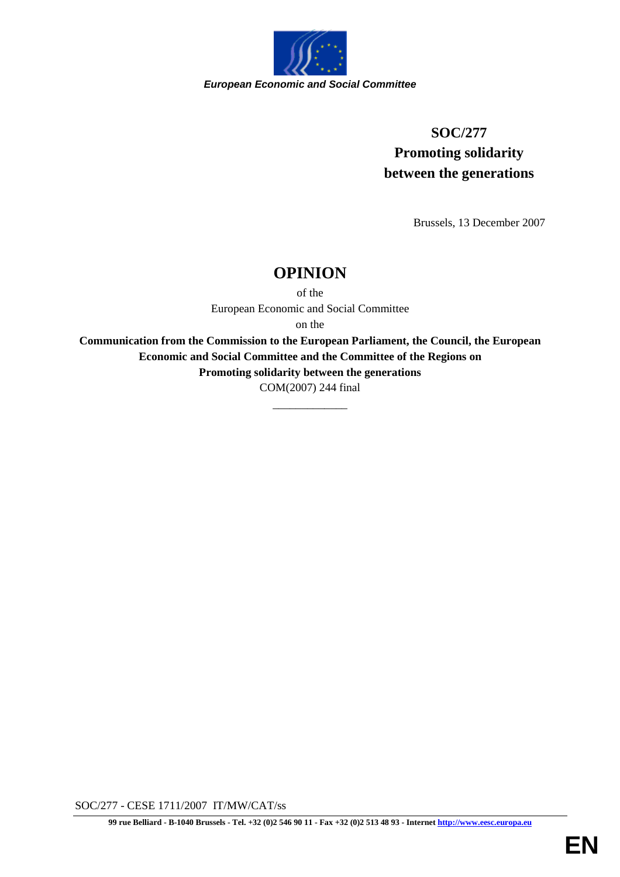

# **SOC/277 Promoting solidarity between the generations**

Brussels, 13 December 2007

# **OPINION**

of the European Economic and Social Committee

on the

**Communication from the Commission to the European Parliament, the Council, the European Economic and Social Committee and the Committee of the Regions on** 

**Promoting solidarity between the generations**

COM(2007) 244 final

\_\_\_\_\_\_\_\_\_\_\_\_\_

SOC/277 - CESE 1711/2007 IT/MW/CAT/ss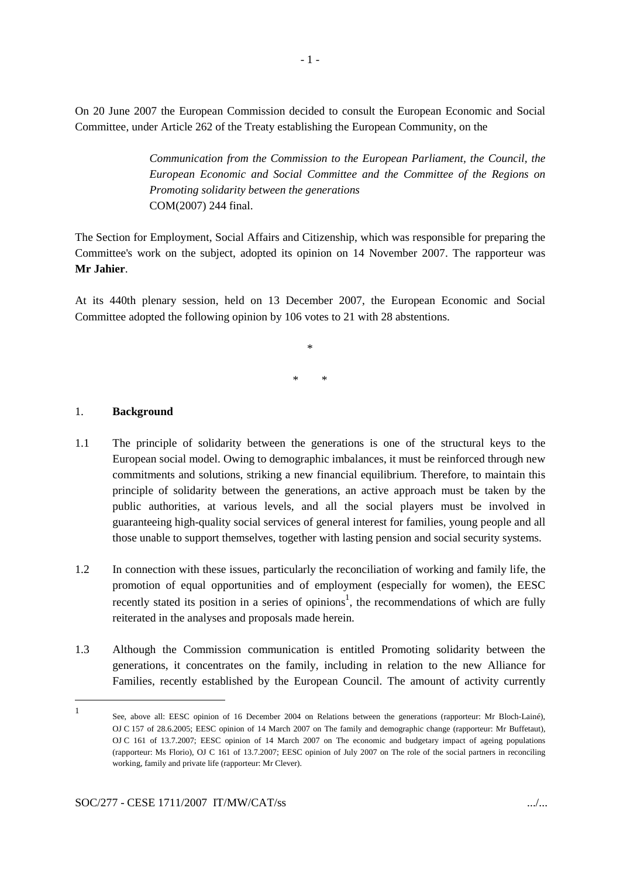On 20 June 2007 the European Commission decided to consult the European Economic and Social Committee, under Article 262 of the Treaty establishing the European Community, on the

> *Communication from the Commission to the European Parliament, the Council, the European Economic and Social Committee and the Committee of the Regions on Promoting solidarity between the generations*  COM(2007) 244 final.

The Section for Employment, Social Affairs and Citizenship, which was responsible for preparing the Committee's work on the subject, adopted its opinion on 14 November 2007. The rapporteur was **Mr Jahier**.

At its 440th plenary session, held on 13 December 2007, the European Economic and Social Committee adopted the following opinion by 106 votes to 21 with 28 abstentions.

> \* \* \*

## 1. **Background**

- 1.1 The principle of solidarity between the generations is one of the structural keys to the European social model. Owing to demographic imbalances, it must be reinforced through new commitments and solutions, striking a new financial equilibrium. Therefore, to maintain this principle of solidarity between the generations, an active approach must be taken by the public authorities, at various levels, and all the social players must be involved in guaranteeing high-quality social services of general interest for families, young people and all those unable to support themselves, together with lasting pension and social security systems.
- 1.2 In connection with these issues, particularly the reconciliation of working and family life, the promotion of equal opportunities and of employment (especially for women), the EESC recently stated its position in a series of opinions<sup>1</sup>, the recommendations of which are fully reiterated in the analyses and proposals made herein.
- 1.3 Although the Commission communication is entitled Promoting solidarity between the generations, it concentrates on the family, including in relation to the new Alliance for Families, recently established by the European Council. The amount of activity currently

<sup>1</sup> See, above all: EESC opinion of 16 December 2004 on Relations between the generations (rapporteur: Mr Bloch-Lainé), OJ C 157 of 28.6.2005; EESC opinion of 14 March 2007 on The family and demographic change (rapporteur: Mr Buffetaut), OJ C 161 of 13.7.2007; EESC opinion of 14 March 2007 on The economic and budgetary impact of ageing populations (rapporteur: Ms Florio), OJ C 161 of 13.7.2007; EESC opinion of July 2007 on The role of the social partners in reconciling working, family and private life (rapporteur: Mr Clever).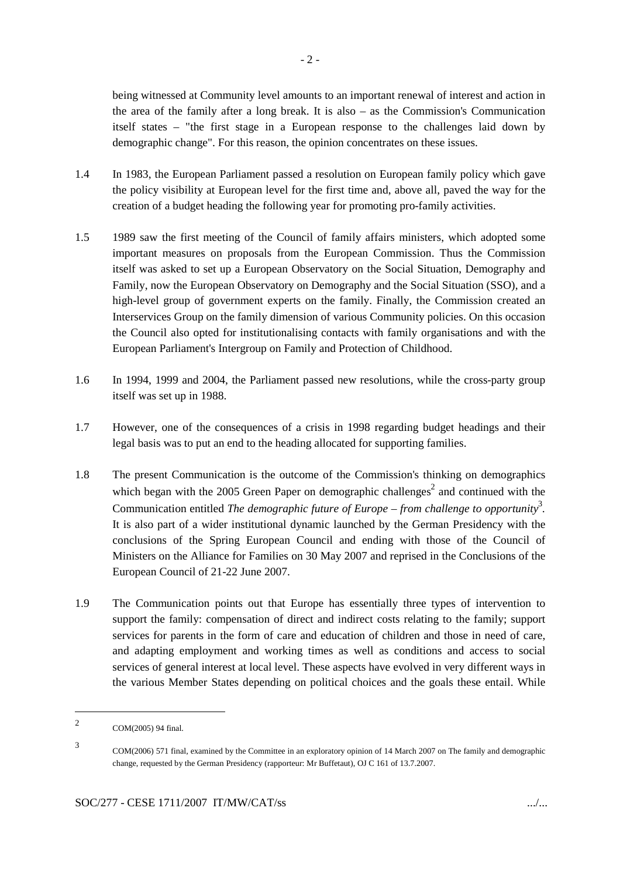$-2-$ 

being witnessed at Community level amounts to an important renewal of interest and action in the area of the family after a long break. It is also – as the Commission's Communication itself states – "the first stage in a European response to the challenges laid down by demographic change". For this reason, the opinion concentrates on these issues.

- 1.4 In 1983, the European Parliament passed a resolution on European family policy which gave the policy visibility at European level for the first time and, above all, paved the way for the creation of a budget heading the following year for promoting pro-family activities.
- 1.5 1989 saw the first meeting of the Council of family affairs ministers, which adopted some important measures on proposals from the European Commission. Thus the Commission itself was asked to set up a European Observatory on the Social Situation, Demography and Family, now the European Observatory on Demography and the Social Situation (SSO), and a high-level group of government experts on the family. Finally, the Commission created an Interservices Group on the family dimension of various Community policies. On this occasion the Council also opted for institutionalising contacts with family organisations and with the European Parliament's Intergroup on Family and Protection of Childhood.
- 1.6 In 1994, 1999 and 2004, the Parliament passed new resolutions, while the cross-party group itself was set up in 1988.
- 1.7 However, one of the consequences of a crisis in 1998 regarding budget headings and their legal basis was to put an end to the heading allocated for supporting families.
- 1.8 The present Communication is the outcome of the Commission's thinking on demographics which began with the 2005 Green Paper on demographic challenges<sup>2</sup> and continued with the Communication entitled *The demographic future of Europe – from challenge to opportunity*<sup>3</sup>. It is also part of a wider institutional dynamic launched by the German Presidency with the conclusions of the Spring European Council and ending with those of the Council of Ministers on the Alliance for Families on 30 May 2007 and reprised in the Conclusions of the European Council of 21-22 June 2007.
- 1.9 The Communication points out that Europe has essentially three types of intervention to support the family: compensation of direct and indirect costs relating to the family; support services for parents in the form of care and education of children and those in need of care, and adapting employment and working times as well as conditions and access to social services of general interest at local level. These aspects have evolved in very different ways in the various Member States depending on political choices and the goals these entail. While

<sup>2</sup> COM(2005) 94 final.

<sup>3</sup> COM(2006) 571 final, examined by the Committee in an exploratory opinion of 14 March 2007 on The family and demographic change, requested by the German Presidency (rapporteur: Mr Buffetaut), OJ C 161 of 13.7.2007.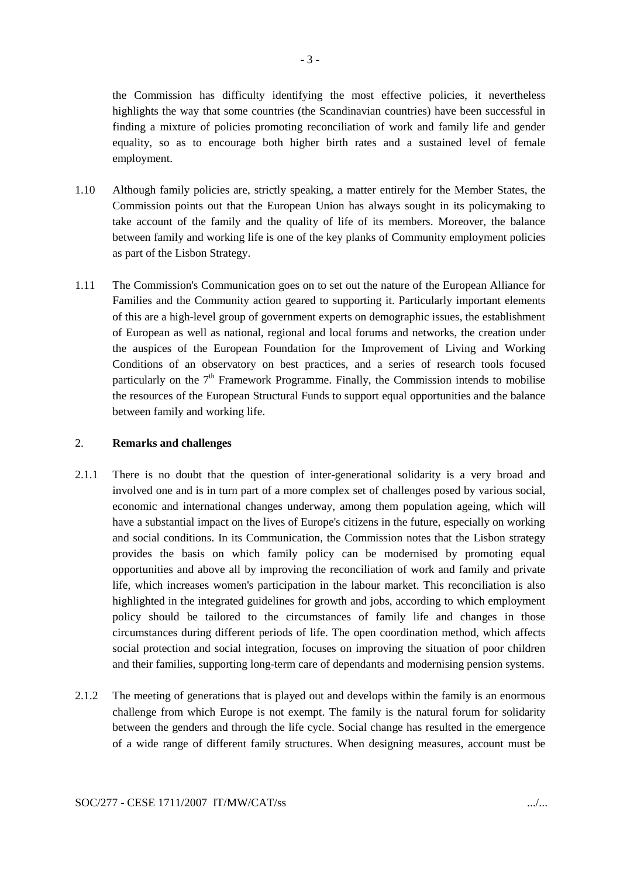the Commission has difficulty identifying the most effective policies, it nevertheless highlights the way that some countries (the Scandinavian countries) have been successful in finding a mixture of policies promoting reconciliation of work and family life and gender equality, so as to encourage both higher birth rates and a sustained level of female employment.

- 1.10 Although family policies are, strictly speaking, a matter entirely for the Member States, the Commission points out that the European Union has always sought in its policymaking to take account of the family and the quality of life of its members. Moreover, the balance between family and working life is one of the key planks of Community employment policies as part of the Lisbon Strategy.
- 1.11 The Commission's Communication goes on to set out the nature of the European Alliance for Families and the Community action geared to supporting it. Particularly important elements of this are a high-level group of government experts on demographic issues, the establishment of European as well as national, regional and local forums and networks, the creation under the auspices of the European Foundation for the Improvement of Living and Working Conditions of an observatory on best practices, and a series of research tools focused particularly on the  $7<sup>th</sup>$  Framework Programme. Finally, the Commission intends to mobilise the resources of the European Structural Funds to support equal opportunities and the balance between family and working life.

## 2. **Remarks and challenges**

- 2.1.1 There is no doubt that the question of inter-generational solidarity is a very broad and involved one and is in turn part of a more complex set of challenges posed by various social, economic and international changes underway, among them population ageing, which will have a substantial impact on the lives of Europe's citizens in the future, especially on working and social conditions. In its Communication, the Commission notes that the Lisbon strategy provides the basis on which family policy can be modernised by promoting equal opportunities and above all by improving the reconciliation of work and family and private life, which increases women's participation in the labour market. This reconciliation is also highlighted in the integrated guidelines for growth and jobs, according to which employment policy should be tailored to the circumstances of family life and changes in those circumstances during different periods of life. The open coordination method, which affects social protection and social integration, focuses on improving the situation of poor children and their families, supporting long-term care of dependants and modernising pension systems.
- 2.1.2 The meeting of generations that is played out and develops within the family is an enormous challenge from which Europe is not exempt. The family is the natural forum for solidarity between the genders and through the life cycle. Social change has resulted in the emergence of a wide range of different family structures. When designing measures, account must be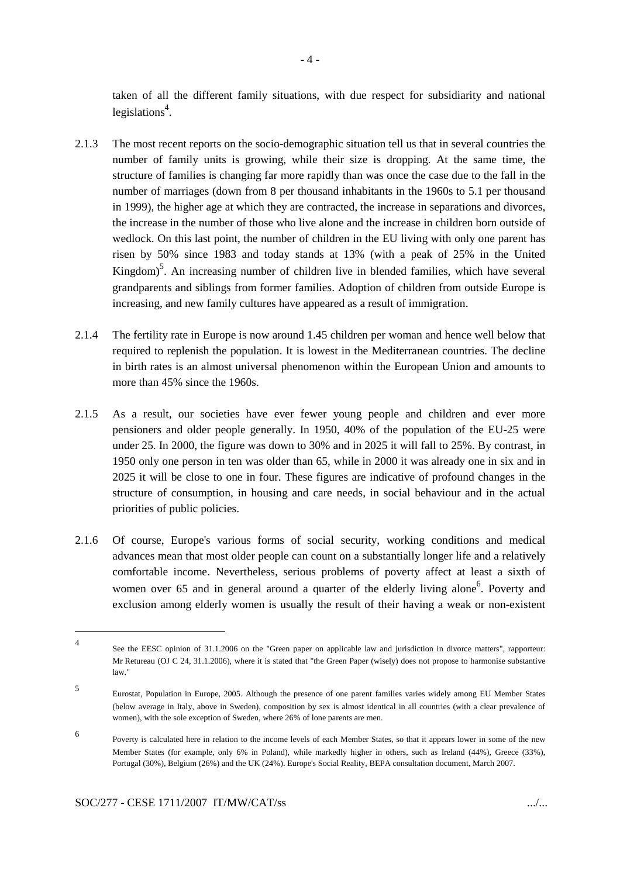taken of all the different family situations, with due respect for subsidiarity and national legislations<sup>4</sup>.

- 2.1.3 The most recent reports on the socio-demographic situation tell us that in several countries the number of family units is growing, while their size is dropping. At the same time, the structure of families is changing far more rapidly than was once the case due to the fall in the number of marriages (down from 8 per thousand inhabitants in the 1960s to 5.1 per thousand in 1999), the higher age at which they are contracted, the increase in separations and divorces, the increase in the number of those who live alone and the increase in children born outside of wedlock. On this last point, the number of children in the EU living with only one parent has risen by 50% since 1983 and today stands at 13% (with a peak of 25% in the United Kingdom)<sup>5</sup>. An increasing number of children live in blended families, which have several grandparents and siblings from former families. Adoption of children from outside Europe is increasing, and new family cultures have appeared as a result of immigration.
- 2.1.4 The fertility rate in Europe is now around 1.45 children per woman and hence well below that required to replenish the population. It is lowest in the Mediterranean countries. The decline in birth rates is an almost universal phenomenon within the European Union and amounts to more than 45% since the 1960s.
- 2.1.5 As a result, our societies have ever fewer young people and children and ever more pensioners and older people generally. In 1950, 40% of the population of the EU-25 were under 25. In 2000, the figure was down to 30% and in 2025 it will fall to 25%. By contrast, in 1950 only one person in ten was older than 65, while in 2000 it was already one in six and in 2025 it will be close to one in four. These figures are indicative of profound changes in the structure of consumption, in housing and care needs, in social behaviour and in the actual priorities of public policies.
- 2.1.6 Of course, Europe's various forms of social security, working conditions and medical advances mean that most older people can count on a substantially longer life and a relatively comfortable income. Nevertheless, serious problems of poverty affect at least a sixth of women over 65 and in general around a quarter of the elderly living alone<sup>6</sup>. Poverty and exclusion among elderly women is usually the result of their having a weak or non-existent

<sup>4</sup> See the EESC opinion of 31.1.2006 on the "Green paper on applicable law and jurisdiction in divorce matters", rapporteur: Mr Retureau (OJ C 24, 31.1.2006), where it is stated that "the Green Paper (wisely) does not propose to harmonise substantive law."

<sup>5</sup> Eurostat, Population in Europe, 2005. Although the presence of one parent families varies widely among EU Member States (below average in Italy, above in Sweden), composition by sex is almost identical in all countries (with a clear prevalence of women), with the sole exception of Sweden, where 26% of lone parents are men.

<sup>6</sup> Poverty is calculated here in relation to the income levels of each Member States, so that it appears lower in some of the new Member States (for example, only 6% in Poland), while markedly higher in others, such as Ireland (44%), Greece (33%), Portugal (30%), Belgium (26%) and the UK (24%). Europe's Social Reality, BEPA consultation document, March 2007.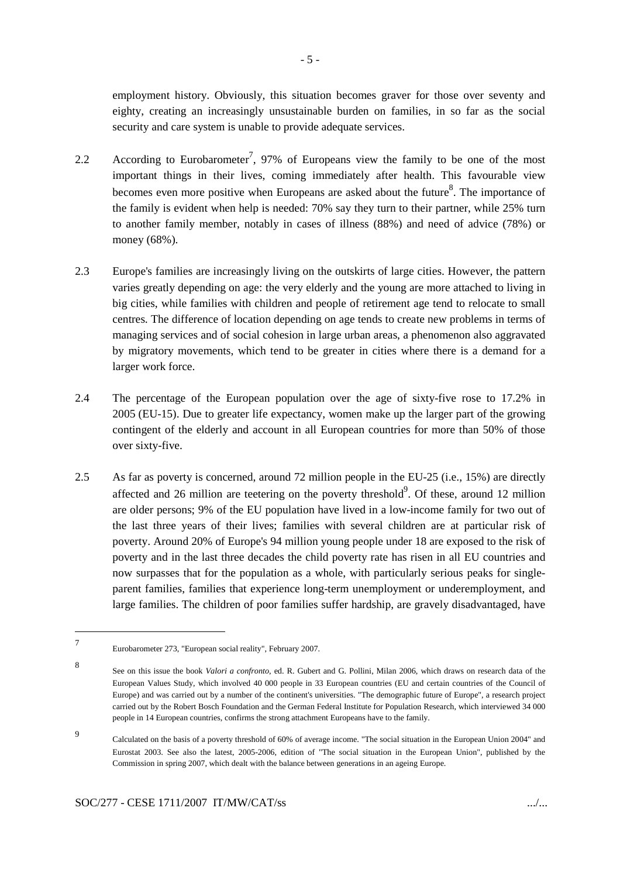employment history. Obviously, this situation becomes graver for those over seventy and eighty, creating an increasingly unsustainable burden on families, in so far as the social security and care system is unable to provide adequate services.

- 2.2 According to Eurobarometer<sup>7</sup>, 97% of Europeans view the family to be one of the most important things in their lives, coming immediately after health. This favourable view becomes even more positive when Europeans are asked about the future<sup>8</sup>. The importance of the family is evident when help is needed: 70% say they turn to their partner, while 25% turn to another family member, notably in cases of illness (88%) and need of advice (78%) or money (68%).
- 2.3 Europe's families are increasingly living on the outskirts of large cities. However, the pattern varies greatly depending on age: the very elderly and the young are more attached to living in big cities, while families with children and people of retirement age tend to relocate to small centres. The difference of location depending on age tends to create new problems in terms of managing services and of social cohesion in large urban areas, a phenomenon also aggravated by migratory movements, which tend to be greater in cities where there is a demand for a larger work force.
- 2.4 The percentage of the European population over the age of sixty-five rose to 17.2% in 2005 (EU-15). Due to greater life expectancy, women make up the larger part of the growing contingent of the elderly and account in all European countries for more than 50% of those over sixty-five.
- 2.5 As far as poverty is concerned, around 72 million people in the EU-25 (i.e., 15%) are directly affected and 26 million are teetering on the poverty threshold<sup>9</sup>. Of these, around 12 million are older persons; 9% of the EU population have lived in a low-income family for two out of the last three years of their lives; families with several children are at particular risk of poverty. Around 20% of Europe's 94 million young people under 18 are exposed to the risk of poverty and in the last three decades the child poverty rate has risen in all EU countries and now surpasses that for the population as a whole, with particularly serious peaks for singleparent families, families that experience long-term unemployment or underemployment, and large families. The children of poor families suffer hardship, are gravely disadvantaged, have

<sup>7</sup> Eurobarometer 273, "European social reality", February 2007.

<sup>8</sup> See on this issue the book *Valori a confronto*, ed. R. Gubert and G. Pollini, Milan 2006, which draws on research data of the European Values Study, which involved 40 000 people in 33 European countries (EU and certain countries of the Council of Europe) and was carried out by a number of the continent's universities. "The demographic future of Europe", a research project carried out by the Robert Bosch Foundation and the German Federal Institute for Population Research, which interviewed 34 000 people in 14 European countries, confirms the strong attachment Europeans have to the family.

<sup>9</sup> Calculated on the basis of a poverty threshold of 60% of average income. "The social situation in the European Union 2004" and Eurostat 2003. See also the latest, 2005-2006, edition of "The social situation in the European Union", published by the Commission in spring 2007, which dealt with the balance between generations in an ageing Europe.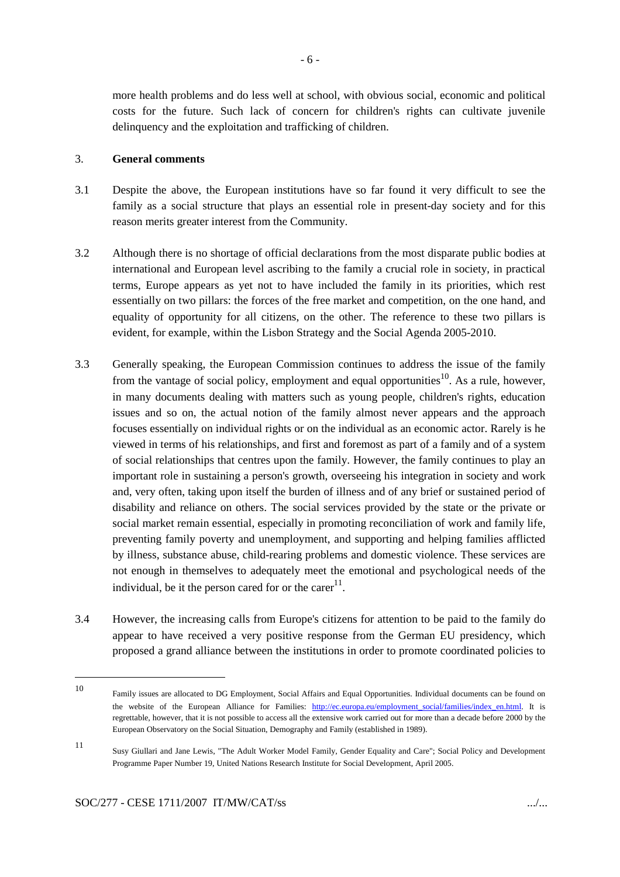more health problems and do less well at school, with obvious social, economic and political costs for the future. Such lack of concern for children's rights can cultivate juvenile delinquency and the exploitation and trafficking of children.

## 3. **General comments**

- 3.1 Despite the above, the European institutions have so far found it very difficult to see the family as a social structure that plays an essential role in present-day society and for this reason merits greater interest from the Community.
- 3.2 Although there is no shortage of official declarations from the most disparate public bodies at international and European level ascribing to the family a crucial role in society, in practical terms, Europe appears as yet not to have included the family in its priorities, which rest essentially on two pillars: the forces of the free market and competition, on the one hand, and equality of opportunity for all citizens, on the other. The reference to these two pillars is evident, for example, within the Lisbon Strategy and the Social Agenda 2005-2010.
- 3.3 Generally speaking, the European Commission continues to address the issue of the family from the vantage of social policy, employment and equal opportunities<sup>10</sup>. As a rule, however, in many documents dealing with matters such as young people, children's rights, education issues and so on, the actual notion of the family almost never appears and the approach focuses essentially on individual rights or on the individual as an economic actor. Rarely is he viewed in terms of his relationships, and first and foremost as part of a family and of a system of social relationships that centres upon the family. However, the family continues to play an important role in sustaining a person's growth, overseeing his integration in society and work and, very often, taking upon itself the burden of illness and of any brief or sustained period of disability and reliance on others. The social services provided by the state or the private or social market remain essential, especially in promoting reconciliation of work and family life, preventing family poverty and unemployment, and supporting and helping families afflicted by illness, substance abuse, child-rearing problems and domestic violence. These services are not enough in themselves to adequately meet the emotional and psychological needs of the individual, be it the person cared for or the care $r^{11}$ .
- 3.4 However, the increasing calls from Europe's citizens for attention to be paid to the family do appear to have received a very positive response from the German EU presidency, which proposed a grand alliance between the institutions in order to promote coordinated policies to

11

<sup>10</sup> Family issues are allocated to DG Employment, Social Affairs and Equal Opportunities. Individual documents can be found on the website of the European Alliance for Families: http://ec.europa.eu/employment social/families/index\_en.html. It is regrettable, however, that it is not possible to access all the extensive work carried out for more than a decade before 2000 by the European Observatory on the Social Situation, Demography and Family (established in 1989).

Susy Giullari and Jane Lewis, "The Adult Worker Model Family, Gender Equality and Care"; Social Policy and Development Programme Paper Number 19, United Nations Research Institute for Social Development, April 2005.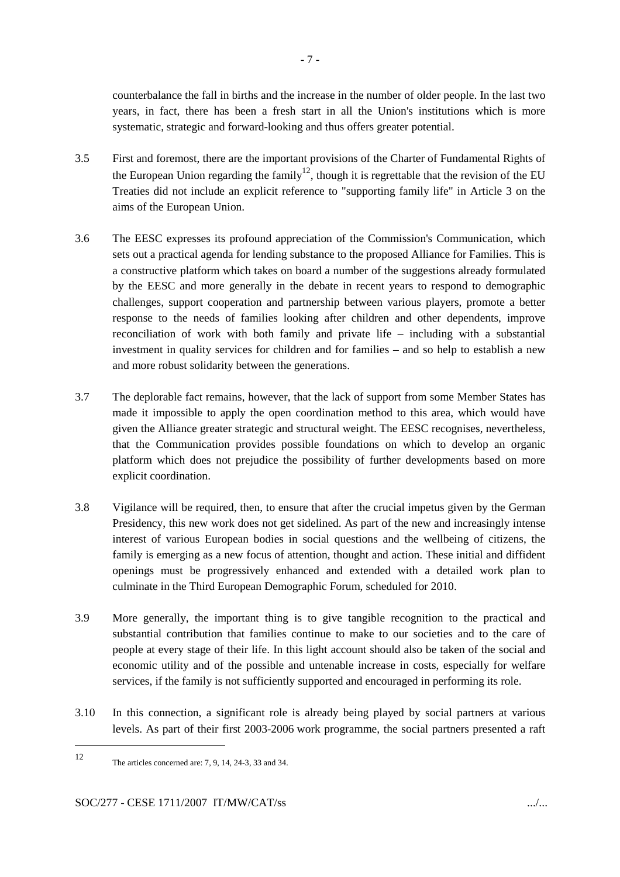counterbalance the fall in births and the increase in the number of older people. In the last two years, in fact, there has been a fresh start in all the Union's institutions which is more systematic, strategic and forward-looking and thus offers greater potential.

- 3.5 First and foremost, there are the important provisions of the Charter of Fundamental Rights of the European Union regarding the family<sup>12</sup>, though it is regrettable that the revision of the EU Treaties did not include an explicit reference to "supporting family life" in Article 3 on the aims of the European Union.
- 3.6 The EESC expresses its profound appreciation of the Commission's Communication, which sets out a practical agenda for lending substance to the proposed Alliance for Families. This is a constructive platform which takes on board a number of the suggestions already formulated by the EESC and more generally in the debate in recent years to respond to demographic challenges, support cooperation and partnership between various players, promote a better response to the needs of families looking after children and other dependents, improve reconciliation of work with both family and private life – including with a substantial investment in quality services for children and for families – and so help to establish a new and more robust solidarity between the generations.
- 3.7 The deplorable fact remains, however, that the lack of support from some Member States has made it impossible to apply the open coordination method to this area, which would have given the Alliance greater strategic and structural weight. The EESC recognises, nevertheless, that the Communication provides possible foundations on which to develop an organic platform which does not prejudice the possibility of further developments based on more explicit coordination.
- 3.8 Vigilance will be required, then, to ensure that after the crucial impetus given by the German Presidency, this new work does not get sidelined. As part of the new and increasingly intense interest of various European bodies in social questions and the wellbeing of citizens, the family is emerging as a new focus of attention, thought and action. These initial and diffident openings must be progressively enhanced and extended with a detailed work plan to culminate in the Third European Demographic Forum, scheduled for 2010.
- 3.9 More generally, the important thing is to give tangible recognition to the practical and substantial contribution that families continue to make to our societies and to the care of people at every stage of their life. In this light account should also be taken of the social and economic utility and of the possible and untenable increase in costs, especially for welfare services, if the family is not sufficiently supported and encouraged in performing its role.
- 3.10 In this connection, a significant role is already being played by social partners at various levels. As part of their first 2003-2006 work programme, the social partners presented a raft

<sup>12</sup> The articles concerned are: 7, 9, 14, 24-3, 33 and 34.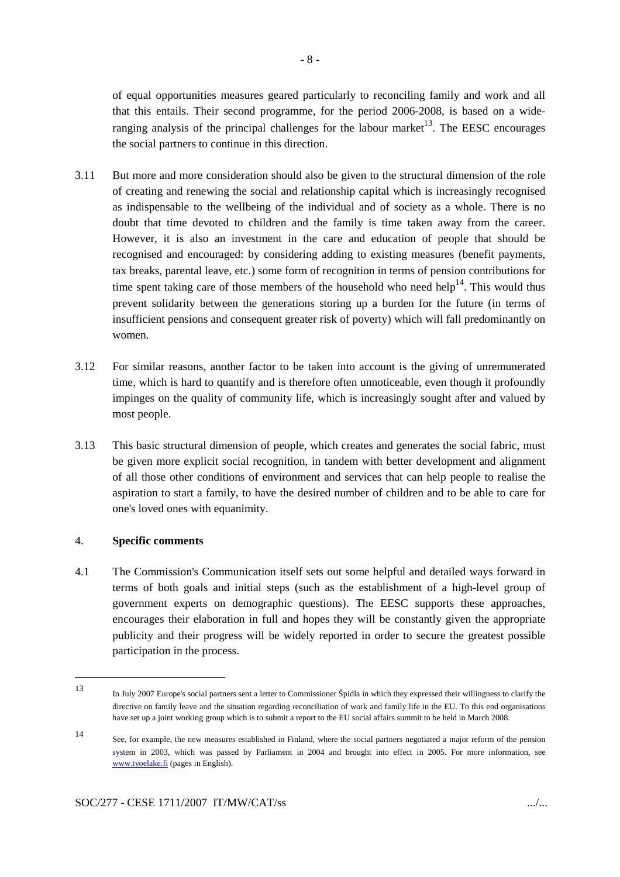of equal opportunities measures geared particularly to reconciling family and work and all that this entails. Their second programme, for the period 2006-2008, is based on a wideranging analysis of the principal challenges for the labour market<sup>13</sup>. The EESC encourages the social partners to continue in this direction.

- 3.11 But more and more consideration should also be given to the structural dimension of the role of creating and renewing the social and relationship capital which is increasingly recognised as indispensable to the wellbeing of the individual and of society as a whole. There is no doubt that time devoted to children and the family is time taken away from the career. However, it is also an investment in the care and education of people that should be recognised and encouraged: by considering adding to existing measures (benefit payments, tax breaks, parental leave, etc.) some form of recognition in terms of pension contributions for time spent taking care of those members of the household who need help<sup>14</sup>. This would thus prevent solidarity between the generations storing up a burden for the future (in terms of insufficient pensions and consequent greater risk of poverty) which will fall predominantly on women.
- 3.12 For similar reasons, another factor to be taken into account is the giving of unremunerated time, which is hard to quantify and is therefore often unnoticeable, even though it profoundly impinges on the quality of community life, which is increasingly sought after and valued by most people.
- 3.13 This basic structural dimension of people, which creates and generates the social fabric, must be given more explicit social recognition, in tandem with better development and alignment of all those other conditions of environment and services that can help people to realise the aspiration to start a family, to have the desired number of children and to be able to care for one's loved ones with equanimity.

## 4. **Specific comments**

4.1 The Commission's Communication itself sets out some helpful and detailed ways forward in terms of both goals and initial steps (such as the establishment of a high-level group of government experts on demographic questions). The EESC supports these approaches, encourages their elaboration in full and hopes they will be constantly given the appropriate publicity and their progress will be widely reported in order to secure the greatest possible participation in the process.

<sup>13</sup> In July 2007 Europe's social partners sent a letter to Commissioner Špidla in which they expressed their willingness to clarify the directive on family leave and the situation regarding reconciliation of work and family life in the EU. To this end organisations have set up a joint working group which is to submit a report to the EU social affairs summit to be held in March 2008.

<sup>14</sup> See, for example, the new measures established in Finland, where the social partners negotiated a major reform of the pension system in 2003, which was passed by Parliament in 2004 and brought into effect in 2005. For more information, see www.tyoelake.fi (pages in English).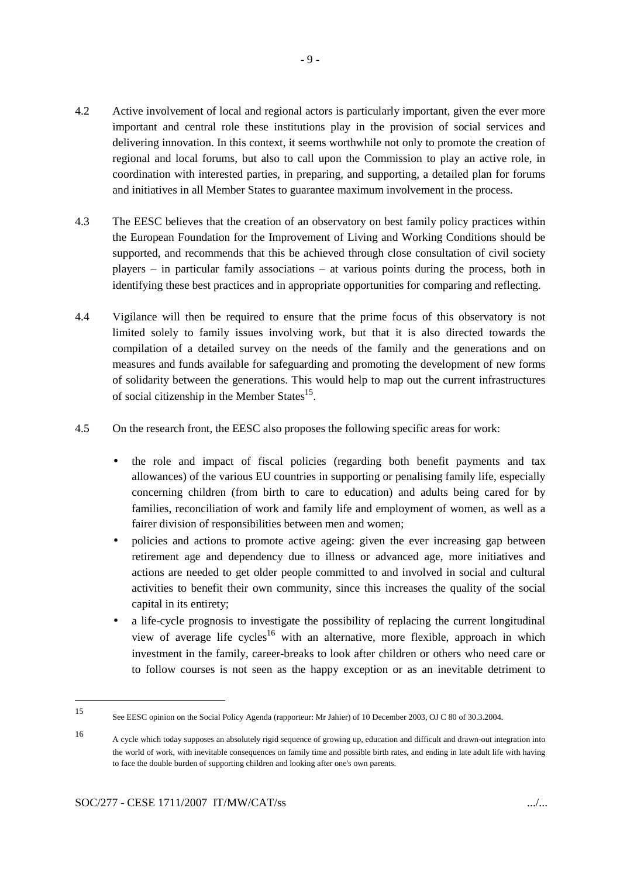- 4.2 Active involvement of local and regional actors is particularly important, given the ever more important and central role these institutions play in the provision of social services and delivering innovation. In this context, it seems worthwhile not only to promote the creation of regional and local forums, but also to call upon the Commission to play an active role, in coordination with interested parties, in preparing, and supporting, a detailed plan for forums and initiatives in all Member States to guarantee maximum involvement in the process.
- 4.3 The EESC believes that the creation of an observatory on best family policy practices within the European Foundation for the Improvement of Living and Working Conditions should be supported, and recommends that this be achieved through close consultation of civil society players – in particular family associations – at various points during the process, both in identifying these best practices and in appropriate opportunities for comparing and reflecting.
- 4.4 Vigilance will then be required to ensure that the prime focus of this observatory is not limited solely to family issues involving work, but that it is also directed towards the compilation of a detailed survey on the needs of the family and the generations and on measures and funds available for safeguarding and promoting the development of new forms of solidarity between the generations. This would help to map out the current infrastructures of social citizenship in the Member States<sup>15</sup>.
- 4.5 On the research front, the EESC also proposes the following specific areas for work:
	- the role and impact of fiscal policies (regarding both benefit payments and tax allowances) of the various EU countries in supporting or penalising family life, especially concerning children (from birth to care to education) and adults being cared for by families, reconciliation of work and family life and employment of women, as well as a fairer division of responsibilities between men and women;
	- policies and actions to promote active ageing: given the ever increasing gap between retirement age and dependency due to illness or advanced age, more initiatives and actions are needed to get older people committed to and involved in social and cultural activities to benefit their own community, since this increases the quality of the social capital in its entirety;
	- a life-cycle prognosis to investigate the possibility of replacing the current longitudinal view of average life cycles<sup>16</sup> with an alternative, more flexible, approach in which investment in the family, career-breaks to look after children or others who need care or to follow courses is not seen as the happy exception or as an inevitable detriment to

<sup>15</sup> See EESC opinion on the Social Policy Agenda (rapporteur: Mr Jahier) of 10 December 2003, OJ C 80 of 30.3.2004.

<sup>16</sup> A cycle which today supposes an absolutely rigid sequence of growing up, education and difficult and drawn-out integration into the world of work, with inevitable consequences on family time and possible birth rates, and ending in late adult life with having to face the double burden of supporting children and looking after one's own parents.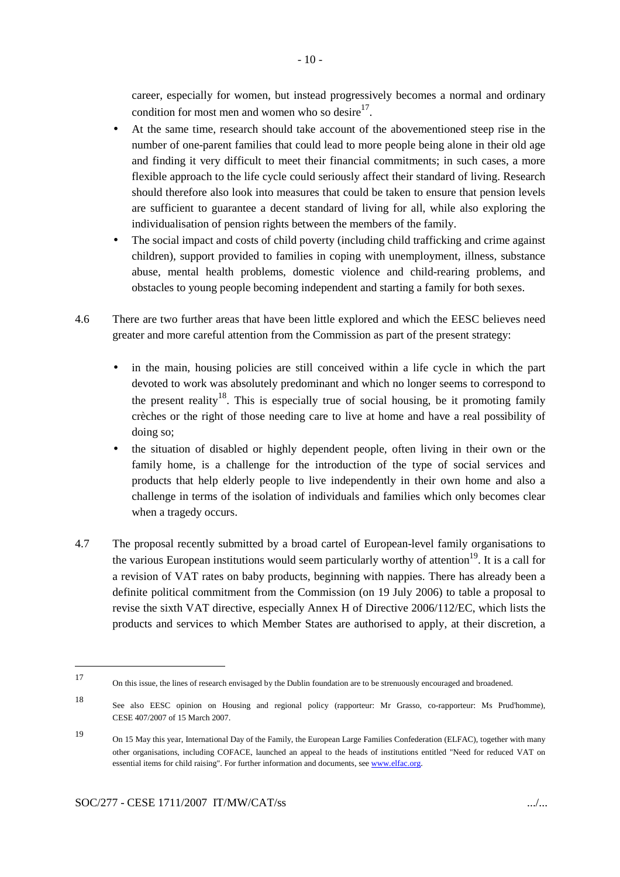career, especially for women, but instead progressively becomes a normal and ordinary condition for most men and women who so desire $17$ .

- At the same time, research should take account of the abovementioned steep rise in the number of one-parent families that could lead to more people being alone in their old age and finding it very difficult to meet their financial commitments; in such cases, a more flexible approach to the life cycle could seriously affect their standard of living. Research should therefore also look into measures that could be taken to ensure that pension levels are sufficient to guarantee a decent standard of living for all, while also exploring the individualisation of pension rights between the members of the family.
- The social impact and costs of child poverty (including child trafficking and crime against children), support provided to families in coping with unemployment, illness, substance abuse, mental health problems, domestic violence and child-rearing problems, and obstacles to young people becoming independent and starting a family for both sexes.
- 4.6 There are two further areas that have been little explored and which the EESC believes need greater and more careful attention from the Commission as part of the present strategy:
	- in the main, housing policies are still conceived within a life cycle in which the part devoted to work was absolutely predominant and which no longer seems to correspond to the present reality<sup>18</sup>. This is especially true of social housing, be it promoting family crèches or the right of those needing care to live at home and have a real possibility of doing so;
	- the situation of disabled or highly dependent people, often living in their own or the family home, is a challenge for the introduction of the type of social services and products that help elderly people to live independently in their own home and also a challenge in terms of the isolation of individuals and families which only becomes clear when a tragedy occurs.
- 4.7 The proposal recently submitted by a broad cartel of European-level family organisations to the various European institutions would seem particularly worthy of attention<sup>19</sup>. It is a call for a revision of VAT rates on baby products, beginning with nappies. There has already been a definite political commitment from the Commission (on 19 July 2006) to table a proposal to revise the sixth VAT directive, especially Annex H of Directive 2006/112/EC, which lists the products and services to which Member States are authorised to apply, at their discretion, a

<sup>17</sup> On this issue, the lines of research envisaged by the Dublin foundation are to be strenuously encouraged and broadened.

<sup>18</sup> See also EESC opinion on Housing and regional policy (rapporteur: Mr Grasso, co-rapporteur: Ms Prud'homme), CESE 407/2007 of 15 March 2007.

<sup>19</sup> On 15 May this year, International Day of the Family, the European Large Families Confederation (ELFAC), together with many other organisations, including COFACE, launched an appeal to the heads of institutions entitled "Need for reduced VAT on essential items for child raising". For further information and documents, see www.elfac.org.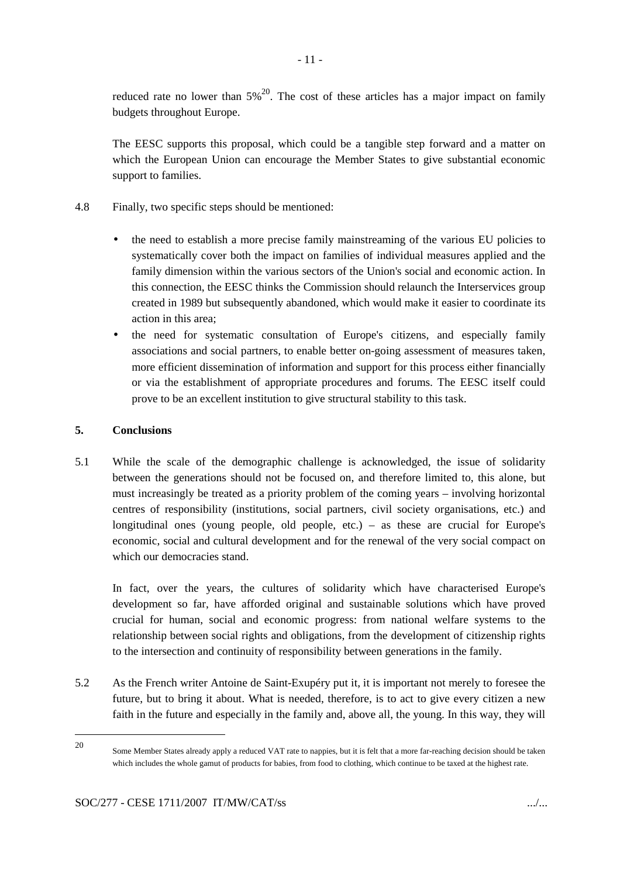reduced rate no lower than  $5\%^{20}$ . The cost of these articles has a major impact on family budgets throughout Europe.

The EESC supports this proposal, which could be a tangible step forward and a matter on which the European Union can encourage the Member States to give substantial economic support to families.

- 4.8 Finally, two specific steps should be mentioned:
	- the need to establish a more precise family mainstreaming of the various EU policies to systematically cover both the impact on families of individual measures applied and the family dimension within the various sectors of the Union's social and economic action. In this connection, the EESC thinks the Commission should relaunch the Interservices group created in 1989 but subsequently abandoned, which would make it easier to coordinate its action in this area;
	- the need for systematic consultation of Europe's citizens, and especially family associations and social partners, to enable better on-going assessment of measures taken, more efficient dissemination of information and support for this process either financially or via the establishment of appropriate procedures and forums. The EESC itself could prove to be an excellent institution to give structural stability to this task.

# **5. Conclusions**

5.1 While the scale of the demographic challenge is acknowledged, the issue of solidarity between the generations should not be focused on, and therefore limited to, this alone, but must increasingly be treated as a priority problem of the coming years – involving horizontal centres of responsibility (institutions, social partners, civil society organisations, etc.) and longitudinal ones (young people, old people, etc.) – as these are crucial for Europe's economic, social and cultural development and for the renewal of the very social compact on which our democracies stand.

In fact, over the years, the cultures of solidarity which have characterised Europe's development so far, have afforded original and sustainable solutions which have proved crucial for human, social and economic progress: from national welfare systems to the relationship between social rights and obligations, from the development of citizenship rights to the intersection and continuity of responsibility between generations in the family.

5.2 As the French writer Antoine de Saint-Exupéry put it, it is important not merely to foresee the future, but to bring it about. What is needed, therefore, is to act to give every citizen a new faith in the future and especially in the family and, above all, the young. In this way, they will

20

Some Member States already apply a reduced VAT rate to nappies, but it is felt that a more far-reaching decision should be taken which includes the whole gamut of products for babies, from food to clothing, which continue to be taxed at the highest rate.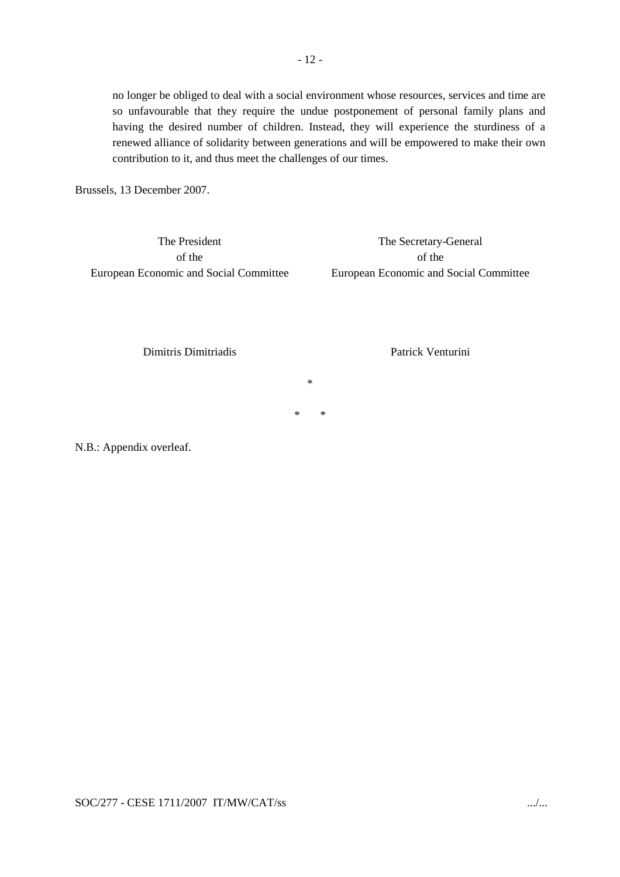no longer be obliged to deal with a social environment whose resources, services and time are so unfavourable that they require the undue postponement of personal family plans and having the desired number of children. Instead, they will experience the sturdiness of a renewed alliance of solidarity between generations and will be empowered to make their own contribution to it, and thus meet the challenges of our times.

Brussels, 13 December 2007.

The President of the European Economic and Social Committee

The Secretary-General of the European Economic and Social Committee

Dimitris Dimitriadis

Patrick Venturini

\*

\* \*

N.B.: Appendix overleaf.